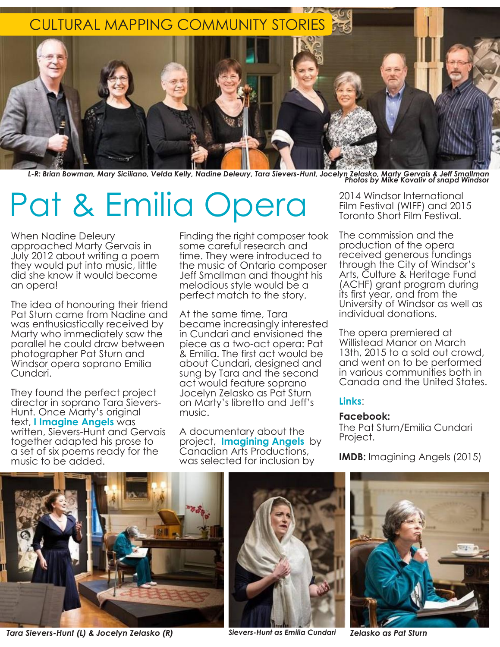

L-R: Brian Bowman, Mary Siciliano, Velda Kelly, Nadine Deleury, Tara Sievers-Hunt, Jocelyn Zelasko, Marty Gervais & Jeff Smallman<br>Photos by Mike Kovaliv of snapd Windsor

# Pat & Emilia Opera <sup>2014 Windsor International</sup><br>Toronto Short Film Festival (WIFF) and 201

When Nadine Deleury approached Marty Gervais in July 2012 about writing a poem they would put into music, little did she know it would become an opera!

The idea of honouring their friend Pat Sturn came from Nadine and was enthusiastically received by Marty who immediately saw the parallel he could draw between photographer Pat Sturn and Windsor opera soprano Emilia Cundari.

They found the perfect project director in soprano Tara Sievers-Hunt. Once Marty's original text, **I Imagine Angels** was written, Sievers-Hunt and Gervais together adapted his prose to a set of six poems ready for the music to be added.

Finding the right composer took some careful research and time. They were introduced to the music of Ontario composer Jeff Smallman and thought his melodious style would be a perfect match to the story.

At the same time, Tara became increasingly interested in Cundari and envisioned the piece as a two-act opera: Pat & Emilia. The first act would be about Cundari, designed and sung by Tara and the second act would feature soprano Jocelyn Zelasko as Pat Sturn on Marty's libretto and Jeff's music.

A documentary about the project, **Imagining Angels** by Canadian Arts Productions, was selected for inclusion by

Film Festival (WIFF) and 2015 Toronto Short Film Festival.

The commission and the production of the opera received generous fundings through the City of Windsor's Arts, Culture & Heritage Fund (ACHF) grant program during its first year, and from the University of Windsor as well as individual donations.

The opera premiered at Willistead Manor on March 13th, 2015 to a sold out crowd, and went on to be performed in various communities both in Canada and the United States.

### **Links**:

#### **Facebook:**

The Pat Sturn/Emilia Cundari Project.

**IMDB:** Imagining Angels (2015)



*Tara Sievers-Hunt (L) & Jocelyn Zelasko (R) Sievers-Hunt as Emilia Cundari Zelasko as Pat Sturn*